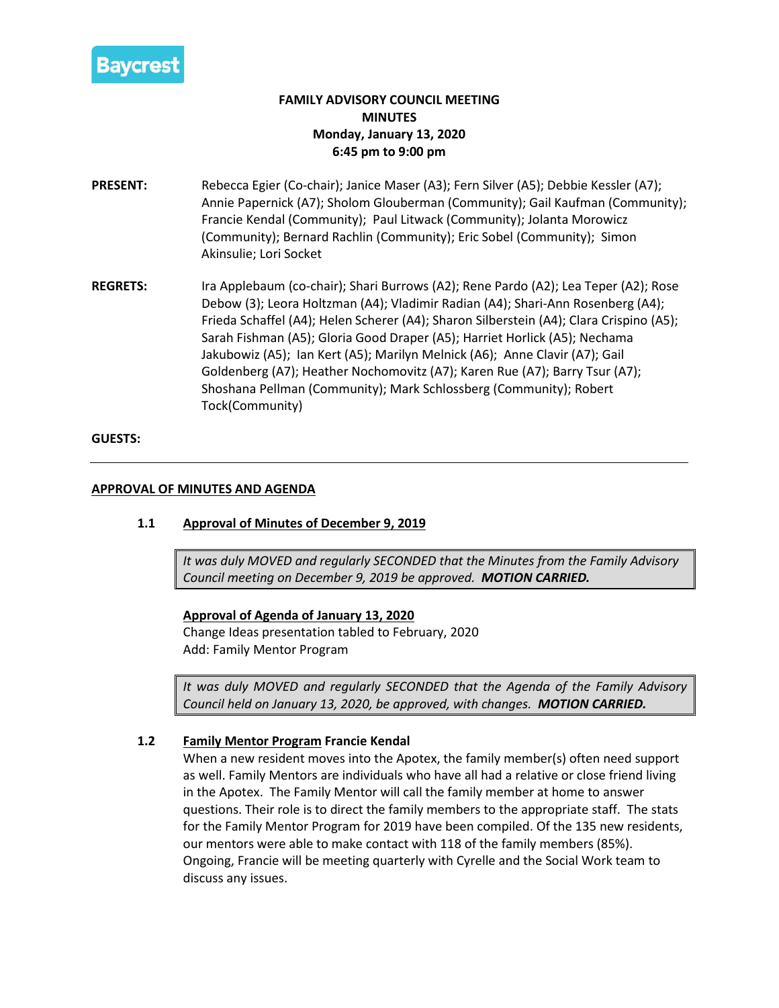

# **FAMILY ADVISORY COUNCIL MEETING MINUTES Monday, January 13, 2020 6:45 pm to 9:00 pm**

- **PRESENT:** Rebecca Egier (Co-chair); Janice Maser (A3); Fern Silver (A5); Debbie Kessler (A7); Annie Papernick (A7); Sholom Glouberman (Community); Gail Kaufman (Community); Francie Kendal (Community); Paul Litwack (Community); Jolanta Morowicz (Community); Bernard Rachlin (Community); Eric Sobel (Community); Simon Akinsulie; Lori Socket
- **REGRETS:** Ira Applebaum (co-chair); Shari Burrows (A2); Rene Pardo (A2); Lea Teper (A2); Rose Debow (3); Leora Holtzman (A4); Vladimir Radian (A4); Shari-Ann Rosenberg (A4); Frieda Schaffel (A4); Helen Scherer (A4); Sharon Silberstein (A4); Clara Crispino (A5); Sarah Fishman (A5); Gloria Good Draper (A5); Harriet Horlick (A5); Nechama Jakubowiz (A5); Ian Kert (A5); Marilyn Melnick (A6); Anne Clavir (A7); Gail Goldenberg (A7); Heather Nochomovitz (A7); Karen Rue (A7); Barry Tsur (A7); Shoshana Pellman (Community); Mark Schlossberg (Community); Robert Tock(Community)

## **GUESTS:**

## **APPROVAL OF MINUTES AND AGENDA**

# **1.1 Approval of Minutes of December 9, 2019**

*It was duly MOVED and regularly SECONDED that the Minutes from the Family Advisory Council meeting on December 9, 2019 be approved. MOTION CARRIED.*

#### **Approval of Agenda of January 13, 2020**

Change Ideas presentation tabled to February, 2020 Add: Family Mentor Program

*It was duly MOVED and regularly SECONDED that the Agenda of the Family Advisory Council held on January 13, 2020, be approved, with changes. MOTION CARRIED.*

# **1.2 Family Mentor Program Francie Kendal**

When a new resident moves into the Apotex, the family member(s) often need support as well. Family Mentors are individuals who have all had a relative or close friend living in the Apotex. The Family Mentor will call the family member at home to answer questions. Their role is to direct the family members to the appropriate staff. The stats for the Family Mentor Program for 2019 have been compiled. Of the 135 new residents, our mentors were able to make contact with 118 of the family members (85%). Ongoing, Francie will be meeting quarterly with Cyrelle and the Social Work team to discuss any issues.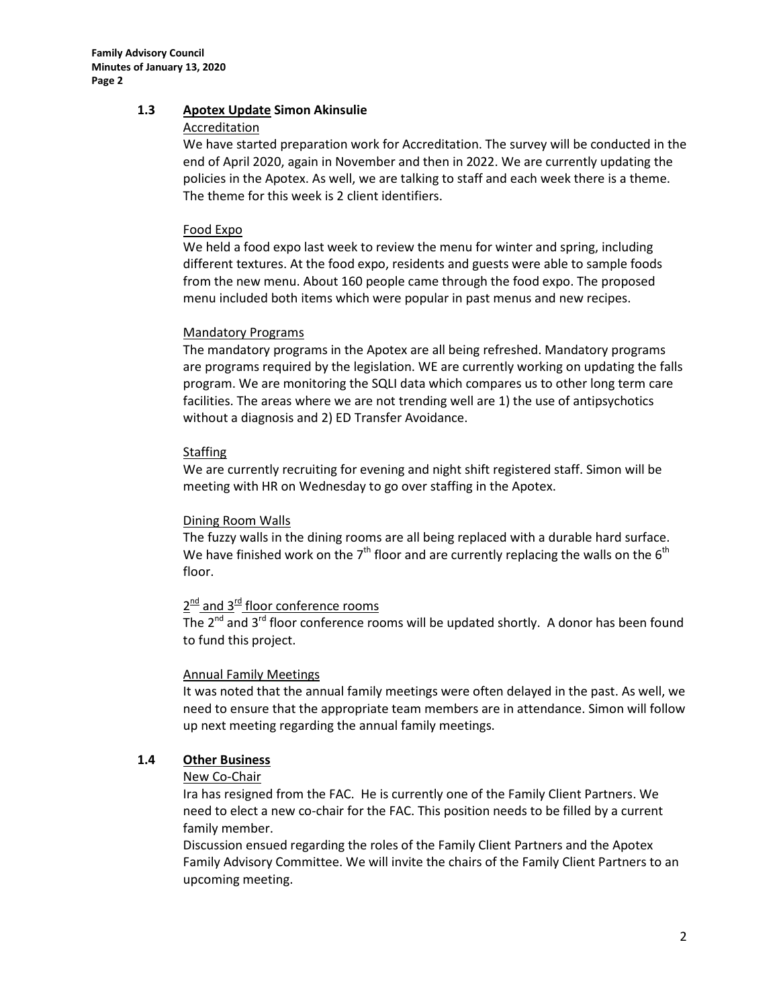## **1.3 Apotex Update Simon Akinsulie**

#### Accreditation

We have started preparation work for Accreditation. The survey will be conducted in the end of April 2020, again in November and then in 2022. We are currently updating the policies in the Apotex. As well, we are talking to staff and each week there is a theme. The theme for this week is 2 client identifiers.

#### Food Expo

We held a food expo last week to review the menu for winter and spring, including different textures. At the food expo, residents and guests were able to sample foods from the new menu. About 160 people came through the food expo. The proposed menu included both items which were popular in past menus and new recipes.

#### Mandatory Programs

The mandatory programs in the Apotex are all being refreshed. Mandatory programs are programs required by the legislation. WE are currently working on updating the falls program. We are monitoring the SQLI data which compares us to other long term care facilities. The areas where we are not trending well are 1) the use of antipsychotics without a diagnosis and 2) ED Transfer Avoidance.

#### **Staffing**

We are currently recruiting for evening and night shift registered staff. Simon will be meeting with HR on Wednesday to go over staffing in the Apotex.

#### Dining Room Walls

The fuzzy walls in the dining rooms are all being replaced with a durable hard surface. We have finished work on the  $7<sup>th</sup>$  floor and are currently replacing the walls on the  $6<sup>th</sup>$ floor.

# $2^{\text{nd}}$  and  $3^{\text{rd}}$  floor conference rooms

The  $2^{nd}$  and  $3^{rd}$  floor conference rooms will be updated shortly. A donor has been found to fund this project.

#### Annual Family Meetings

It was noted that the annual family meetings were often delayed in the past. As well, we need to ensure that the appropriate team members are in attendance. Simon will follow up next meeting regarding the annual family meetings.

#### **1.4 Other Business**

#### New Co-Chair

Ira has resigned from the FAC. He is currently one of the Family Client Partners. We need to elect a new co-chair for the FAC. This position needs to be filled by a current family member.

Discussion ensued regarding the roles of the Family Client Partners and the Apotex Family Advisory Committee. We will invite the chairs of the Family Client Partners to an upcoming meeting.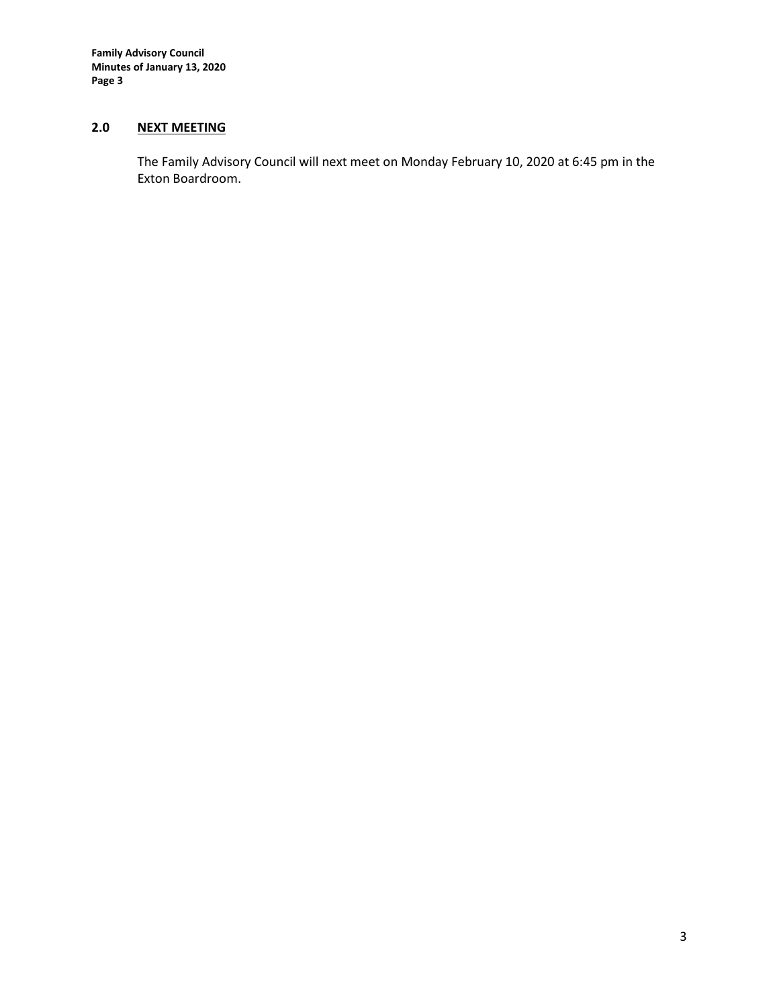**Family Advisory Council Minutes of January 13, 2020 Page 3**

# **2.0 NEXT MEETING**

The Family Advisory Council will next meet on Monday February 10, 2020 at 6:45 pm in the Exton Boardroom.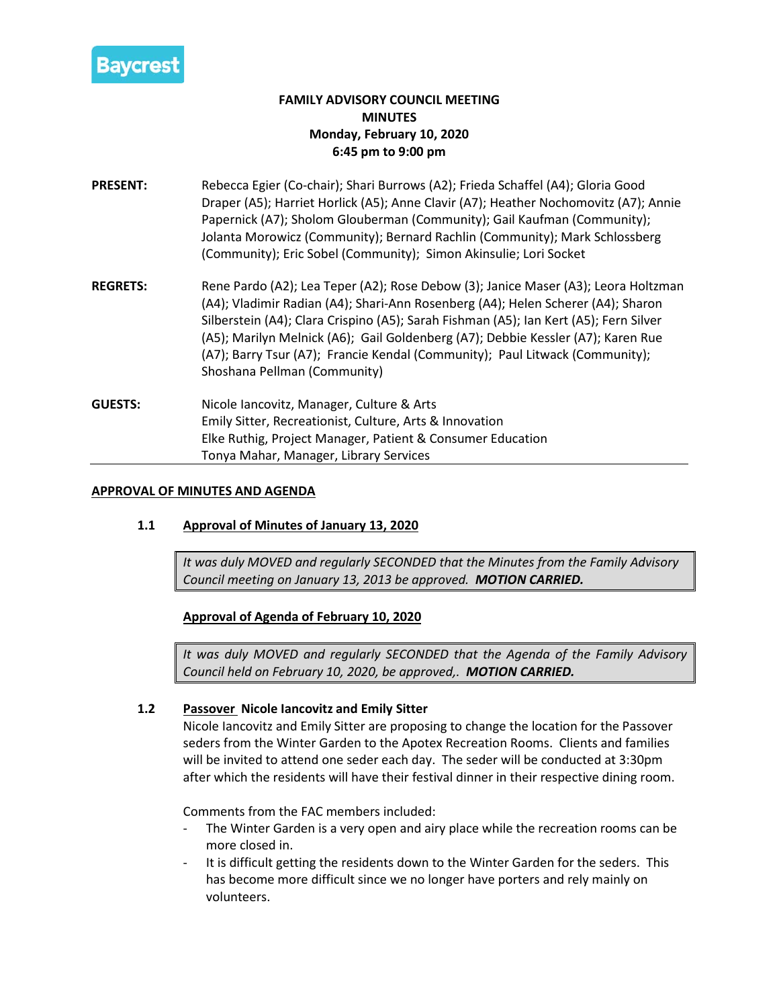

# **FAMILY ADVISORY COUNCIL MEETING MINUTES Monday, February 10, 2020 6:45 pm to 9:00 pm**

- **PRESENT:** Rebecca Egier (Co-chair); Shari Burrows (A2); Frieda Schaffel (A4); Gloria Good Draper (A5); Harriet Horlick (A5); Anne Clavir (A7); Heather Nochomovitz (A7); Annie Papernick (A7); Sholom Glouberman (Community); Gail Kaufman (Community); Jolanta Morowicz (Community); Bernard Rachlin (Community); Mark Schlossberg (Community); Eric Sobel (Community); Simon Akinsulie; Lori Socket
- **REGRETS:** Rene Pardo (A2); Lea Teper (A2); Rose Debow (3); Janice Maser (A3); Leora Holtzman (A4); Vladimir Radian (A4); Shari-Ann Rosenberg (A4); Helen Scherer (A4); Sharon Silberstein (A4); Clara Crispino (A5); Sarah Fishman (A5); Ian Kert (A5); Fern Silver (A5); Marilyn Melnick (A6); Gail Goldenberg (A7); Debbie Kessler (A7); Karen Rue (A7); Barry Tsur (A7); Francie Kendal (Community); Paul Litwack (Community); Shoshana Pellman (Community)
- **GUESTS:** Nicole Iancovitz, Manager, Culture & Arts Emily Sitter, Recreationist, Culture, Arts & Innovation Elke Ruthig, Project Manager, Patient & Consumer Education Tonya Mahar, Manager, Library Services

## **APPROVAL OF MINUTES AND AGENDA**

# **1.1 Approval of Minutes of January 13, 2020**

*It was duly MOVED and regularly SECONDED that the Minutes from the Family Advisory Council meeting on January 13, 2013 be approved. MOTION CARRIED.*

**Approval of Agenda of February 10, 2020**

*It was duly MOVED and regularly SECONDED that the Agenda of the Family Advisory Council held on February 10, 2020, be approved,. MOTION CARRIED.*

#### **1.2 Passover Nicole Iancovitz and Emily Sitter**

Nicole Iancovitz and Emily Sitter are proposing to change the location for the Passover seders from the Winter Garden to the Apotex Recreation Rooms. Clients and families will be invited to attend one seder each day. The seder will be conducted at 3:30pm after which the residents will have their festival dinner in their respective dining room.

Comments from the FAC members included:

- The Winter Garden is a very open and airy place while the recreation rooms can be more closed in.
- It is difficult getting the residents down to the Winter Garden for the seders. This has become more difficult since we no longer have porters and rely mainly on volunteers.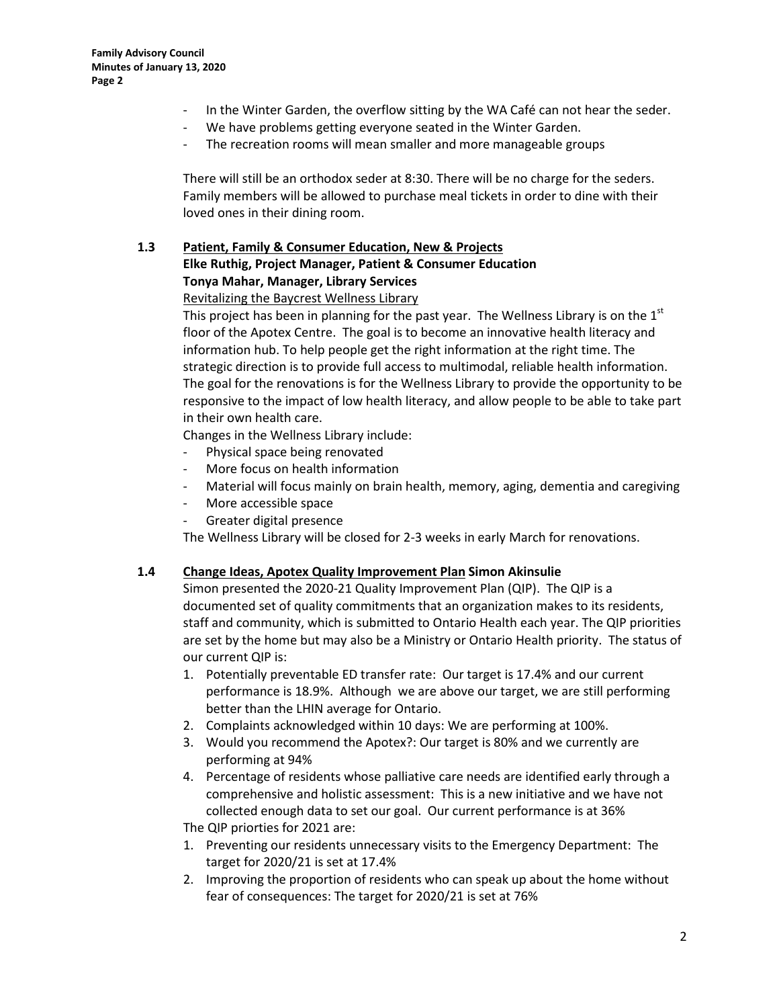- In the Winter Garden, the overflow sitting by the WA Café can not hear the seder.
- We have problems getting everyone seated in the Winter Garden.
- The recreation rooms will mean smaller and more manageable groups

There will still be an orthodox seder at 8:30. There will be no charge for the seders. Family members will be allowed to purchase meal tickets in order to dine with their loved ones in their dining room.

# **1.3 Patient, Family & Consumer Education, New & Projects Elke Ruthig, Project Manager, Patient & Consumer Education Tonya Mahar, Manager, Library Services**

#### Revitalizing the Baycrest Wellness Library

This project has been in planning for the past year. The Wellness Library is on the  $1<sup>st</sup>$ floor of the Apotex Centre. The goal is to become an innovative health literacy and information hub. To help people get the right information at the right time. The strategic direction is to provide full access to multimodal, reliable health information. The goal for the renovations is for the Wellness Library to provide the opportunity to be responsive to the impact of low health literacy, and allow people to be able to take part in their own health care.

Changes in the Wellness Library include:

- Physical space being renovated
- More focus on health information
- Material will focus mainly on brain health, memory, aging, dementia and caregiving
- More accessible space
- Greater digital presence

The Wellness Library will be closed for 2-3 weeks in early March for renovations.

#### **1.4 Change Ideas, Apotex Quality Improvement Plan Simon Akinsulie**

Simon presented the 2020-21 Quality Improvement Plan (QIP). The QIP is a documented set of quality commitments that an organization makes to its residents, staff and community, which is submitted to Ontario Health each year. The QIP priorities are set by the home but may also be a Ministry or Ontario Health priority. The status of our current QIP is:

- 1. Potentially preventable ED transfer rate: Our target is 17.4% and our current performance is 18.9%. Although we are above our target, we are still performing better than the LHIN average for Ontario.
- 2. Complaints acknowledged within 10 days: We are performing at 100%.
- 3. Would you recommend the Apotex?: Our target is 80% and we currently are performing at 94%
- 4. Percentage of residents whose palliative care needs are identified early through a comprehensive and holistic assessment: This is a new initiative and we have not collected enough data to set our goal. Our current performance is at 36%

The QIP priorties for 2021 are:

- 1. Preventing our residents unnecessary visits to the Emergency Department: The target for 2020/21 is set at 17.4%
- 2. Improving the proportion of residents who can speak up about the home without fear of consequences: The target for 2020/21 is set at 76%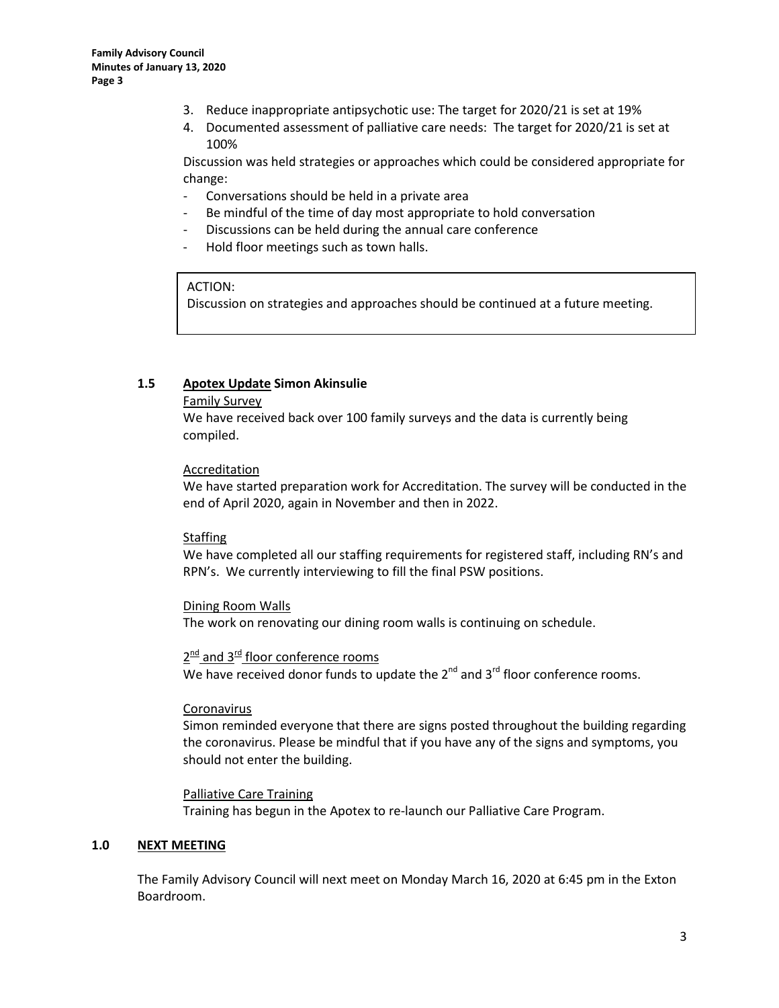- 3. Reduce inappropriate antipsychotic use: The target for 2020/21 is set at 19%
- 4. Documented assessment of palliative care needs: The target for 2020/21 is set at 100%

Discussion was held strategies or approaches which could be considered appropriate for change:

- Conversations should be held in a private area
- Be mindful of the time of day most appropriate to hold conversation
- Discussions can be held during the annual care conference
- Hold floor meetings such as town halls.

#### ACTION:

Discussion on strategies and approaches should be continued at a future meeting.

#### **1.5 Apotex Update Simon Akinsulie**

#### Family Survey

We have received back over 100 family surveys and the data is currently being compiled.

## Accreditation

We have started preparation work for Accreditation. The survey will be conducted in the end of April 2020, again in November and then in 2022.

#### **Staffing**

We have completed all our staffing requirements for registered staff, including RN's and RPN's. We currently interviewing to fill the final PSW positions.

# Dining Room Walls The work on renovating our dining room walls is continuing on schedule.

 $2^{\text{nd}}$  and  $3^{\text{rd}}$  floor conference rooms We have received donor funds to update the  $2^{nd}$  and  $3^{rd}$  floor conference rooms.

#### Coronavirus

Simon reminded everyone that there are signs posted throughout the building regarding the coronavirus. Please be mindful that if you have any of the signs and symptoms, you should not enter the building.

#### Palliative Care Training

Training has begun in the Apotex to re-launch our Palliative Care Program.

#### **1.0 NEXT MEETING**

The Family Advisory Council will next meet on Monday March 16, 2020 at 6:45 pm in the Exton Boardroom.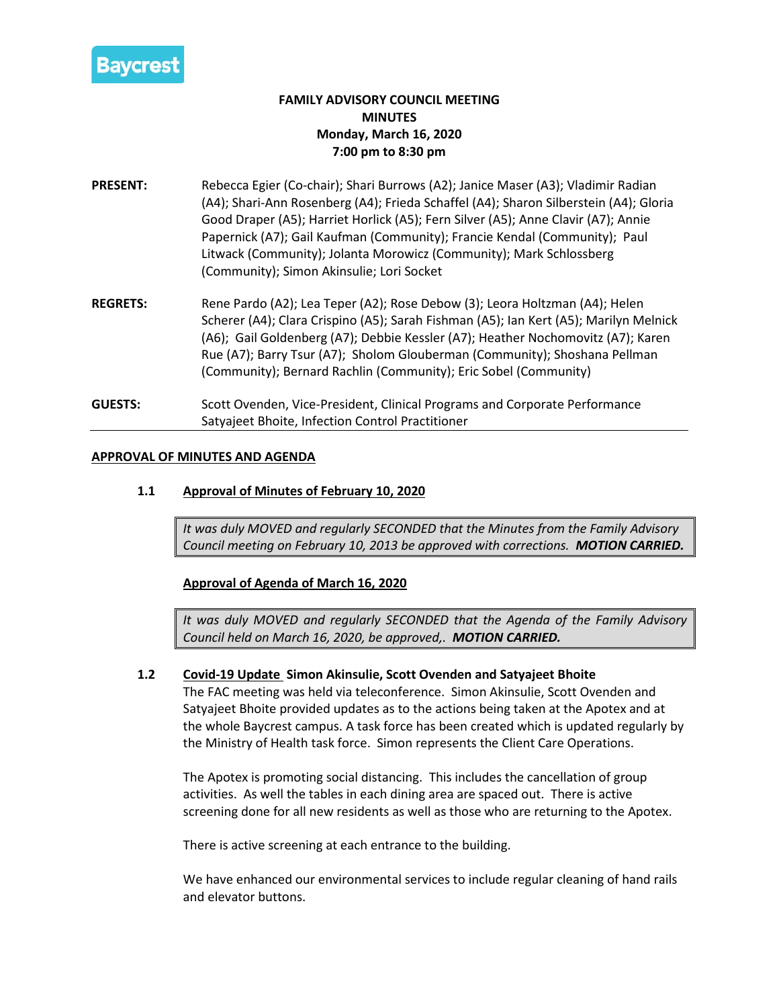

# **FAMILY ADVISORY COUNCIL MEETING MINUTES Monday, March 16, 2020 7:00 pm to 8:30 pm**

- **PRESENT:** Rebecca Egier (Co-chair); Shari Burrows (A2); Janice Maser (A3); Vladimir Radian (A4); Shari-Ann Rosenberg (A4); Frieda Schaffel (A4); Sharon Silberstein (A4); Gloria Good Draper (A5); Harriet Horlick (A5); Fern Silver (A5); Anne Clavir (A7); Annie Papernick (A7); Gail Kaufman (Community); Francie Kendal (Community); Paul Litwack (Community); Jolanta Morowicz (Community); Mark Schlossberg (Community); Simon Akinsulie; Lori Socket
- **REGRETS:** Rene Pardo (A2); Lea Teper (A2); Rose Debow (3); Leora Holtzman (A4); Helen Scherer (A4); Clara Crispino (A5); Sarah Fishman (A5); Ian Kert (A5); Marilyn Melnick (A6); Gail Goldenberg (A7); Debbie Kessler (A7); Heather Nochomovitz (A7); Karen Rue (A7); Barry Tsur (A7); Sholom Glouberman (Community); Shoshana Pellman (Community); Bernard Rachlin (Community); Eric Sobel (Community)
- **GUESTS:** Scott Ovenden, Vice-President, Clinical Programs and Corporate Performance Satyajeet Bhoite, Infection Control Practitioner

## **APPROVAL OF MINUTES AND AGENDA**

# **1.1 Approval of Minutes of February 10, 2020**

*It was duly MOVED and regularly SECONDED that the Minutes from the Family Advisory Council meeting on February 10, 2013 be approved with corrections. MOTION CARRIED.*

**Approval of Agenda of March 16, 2020**

*It was duly MOVED and regularly SECONDED that the Agenda of the Family Advisory Council held on March 16, 2020, be approved,. MOTION CARRIED.*

#### **1.2 Covid-19 Update Simon Akinsulie, Scott Ovenden and Satyajeet Bhoite**

The FAC meeting was held via teleconference. Simon Akinsulie, Scott Ovenden and Satyajeet Bhoite provided updates as to the actions being taken at the Apotex and at the whole Baycrest campus. A task force has been created which is updated regularly by the Ministry of Health task force. Simon represents the Client Care Operations.

The Apotex is promoting social distancing. This includes the cancellation of group activities. As well the tables in each dining area are spaced out. There is active screening done for all new residents as well as those who are returning to the Apotex.

There is active screening at each entrance to the building.

We have enhanced our environmental services to include regular cleaning of hand rails and elevator buttons.